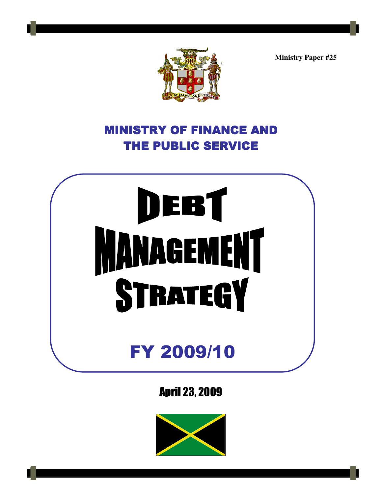**Ministry Paper #25** 



# MINISTRY OF FINANCE AND THE PUBLIC SERVICE

# DEBT<br>MANAGEMENT FY 2009/10

April 23, 2009

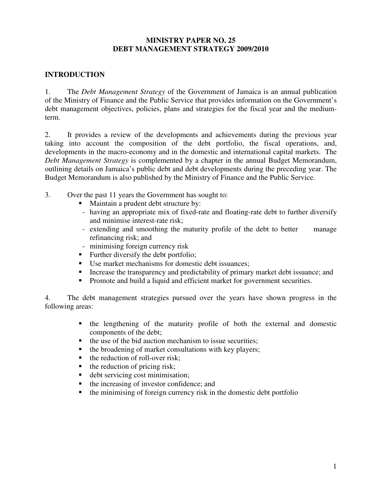### **MINISTRY PAPER NO. 25 DEBT MANAGEMENT STRATEGY 2009/2010**

### **INTRODUCTION**

1. The *Debt Management Strategy* of the Government of Jamaica is an annual publication of the Ministry of Finance and the Public Service that provides information on the Government's debt management objectives, policies, plans and strategies for the fiscal year and the mediumterm.

2. It provides a review of the developments and achievements during the previous year taking into account the composition of the debt portfolio, the fiscal operations, and, developments in the macro-economy and in the domestic and international capital markets. The *Debt Management Strategy* is complemented by a chapter in the annual Budget Memorandum, outlining details on Jamaica's public debt and debt developments during the preceding year. The Budget Memorandum is also published by the Ministry of Finance and the Public Service.

- 3. Over the past 11 years the Government has sought to:
	- Maintain a prudent debt structure by:
	- having an appropriate mix of fixed-rate and floating-rate debt to further diversify and minimise interest-rate risk;
	- extending and smoothing the maturity profile of the debt to better manage refinancing risk; and
	- minimising foreign currency risk
	- Further diversify the debt portfolio;
	- Use market mechanisms for domestic debt issuances;
	- Increase the transparency and predictability of primary market debt issuance; and
	- Promote and build a liquid and efficient market for government securities.

4. The debt management strategies pursued over the years have shown progress in the following areas:

- the lengthening of the maturity profile of both the external and domestic components of the debt;
- $\blacksquare$  the use of the bid auction mechanism to issue securities;
- $\blacksquare$  the broadening of market consultations with key players;
- $\blacksquare$  the reduction of roll-over risk;
- $\blacksquare$  the reduction of pricing risk;
- debt servicing cost minimisation;
- the increasing of investor confidence; and
- $\bullet$  the minimising of foreign currency risk in the domestic debt portfolio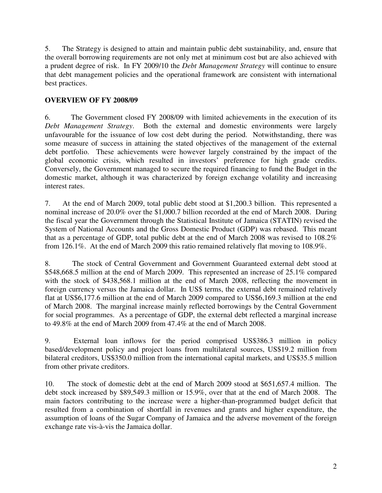5. The Strategy is designed to attain and maintain public debt sustainability, and, ensure that the overall borrowing requirements are not only met at minimum cost but are also achieved with a prudent degree of risk. In FY 2009/10 the *Debt Management Strategy* will continue to ensure that debt management policies and the operational framework are consistent with international best practices.

### **OVERVIEW OF FY 2008/09**

6. The Government closed FY 2008/09 with limited achievements in the execution of its *Debt Management Strategy*. Both the external and domestic environments were largely unfavourable for the issuance of low cost debt during the period. Notwithstanding, there was some measure of success in attaining the stated objectives of the management of the external debt portfolio. These achievements were however largely constrained by the impact of the global economic crisis, which resulted in investors' preference for high grade credits. Conversely, the Government managed to secure the required financing to fund the Budget in the domestic market, although it was characterized by foreign exchange volatility and increasing interest rates.

7. At the end of March 2009, total public debt stood at \$1,200.3 billion. This represented a nominal increase of 20.0% over the \$1,000.7 billion recorded at the end of March 2008. During the fiscal year the Government through the Statistical Institute of Jamaica (STATIN) revised the System of National Accounts and the Gross Domestic Product (GDP) was rebased. This meant that as a percentage of GDP, total public debt at the end of March 2008 was revised to 108.2% from 126.1%. At the end of March 2009 this ratio remained relatively flat moving to 108.9%.

8. The stock of Central Government and Government Guaranteed external debt stood at \$548,668.5 million at the end of March 2009. This represented an increase of 25.1% compared with the stock of \$438,568.1 million at the end of March 2008, reflecting the movement in foreign currency versus the Jamaica dollar. In US\$ terms, the external debt remained relatively flat at US\$6,177.6 million at the end of March 2009 compared to US\$6,169.3 million at the end of March 2008. The marginal increase mainly reflected borrowings by the Central Government for social programmes. As a percentage of GDP, the external debt reflected a marginal increase to 49.8% at the end of March 2009 from 47.4% at the end of March 2008.

9. External loan inflows for the period comprised US\$386.3 million in policy based/development policy and project loans from multilateral sources, US\$19.2 million from bilateral creditors, US\$350.0 million from the international capital markets, and US\$35.5 million from other private creditors.

10. The stock of domestic debt at the end of March 2009 stood at \$651,657.4 million. The debt stock increased by \$89,549.3 million or 15.9%, over that at the end of March 2008. The main factors contributing to the increase were a higher-than-programmed budget deficit that resulted from a combination of shortfall in revenues and grants and higher expenditure, the assumption of loans of the Sugar Company of Jamaica and the adverse movement of the foreign exchange rate vis-à-vis the Jamaica dollar.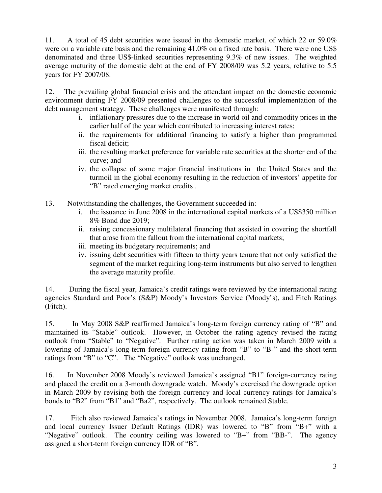11. A total of 45 debt securities were issued in the domestic market, of which 22 or 59.0% were on a variable rate basis and the remaining 41.0% on a fixed rate basis. There were one US\$ denominated and three US\$-linked securities representing 9.3% of new issues. The weighted average maturity of the domestic debt at the end of FY 2008/09 was 5.2 years, relative to 5.5 years for FY 2007/08.

12. The prevailing global financial crisis and the attendant impact on the domestic economic environment during FY 2008/09 presented challenges to the successful implementation of the debt management strategy. These challenges were manifested through:

- i. inflationary pressures due to the increase in world oil and commodity prices in the earlier half of the year which contributed to increasing interest rates;
- ii. the requirements for additional financing to satisfy a higher than programmed fiscal deficit;
- iii. the resulting market preference for variable rate securities at the shorter end of the curve; and
- iv. the collapse of some major financial institutions in the United States and the turmoil in the global economy resulting in the reduction of investors' appetite for "B" rated emerging market credits .
- 13. Notwithstanding the challenges, the Government succeeded in:
	- i. the issuance in June 2008 in the international capital markets of a US\$350 million 8% Bond due 2019;
	- ii. raising concessionary multilateral financing that assisted in covering the shortfall that arose from the fallout from the international capital markets;
	- iii. meeting its budgetary requirements; and
	- iv. issuing debt securities with fifteen to thirty years tenure that not only satisfied the segment of the market requiring long-term instruments but also served to lengthen the average maturity profile.

14. During the fiscal year, Jamaica's credit ratings were reviewed by the international rating agencies Standard and Poor's (S&P) Moody's Investors Service (Moody's), and Fitch Ratings (Fitch).

15. In May 2008 S&P reaffirmed Jamaica's long-term foreign currency rating of "B" and maintained its "Stable" outlook. However, in October the rating agency revised the rating outlook from "Stable" to "Negative". Further rating action was taken in March 2009 with a lowering of Jamaica's long-term foreign currency rating from "B" to "B-" and the short-term ratings from "B" to "C". The "Negative" outlook was unchanged.

16. In November 2008 Moody's reviewed Jamaica's assigned "B1" foreign-currency rating and placed the credit on a 3-month downgrade watch. Moody's exercised the downgrade option in March 2009 by revising both the foreign currency and local currency ratings for Jamaica's bonds to "B2" from "B1" and "Ba2", respectively. The outlook remained Stable.

17. Fitch also reviewed Jamaica's ratings in November 2008.Jamaica's long-term foreign and local currency Issuer Default Ratings (IDR) was lowered to "B" from "B+" with a "Negative" outlook. The country ceiling was lowered to "B+" from "BB-". The agency assigned a short-term foreign currency IDR of "B".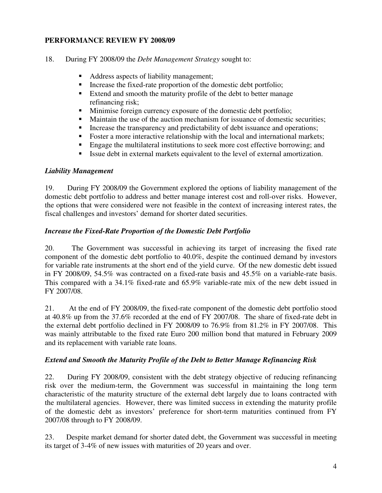### **PERFORMANCE REVIEW FY 2008/09**

- 18. During FY 2008/09 the *Debt Management Strategy* sought to:
	- Address aspects of liability management;
	- Increase the fixed-rate proportion of the domestic debt portfolio;
	- Extend and smooth the maturity profile of the debt to better manage refinancing risk;
	- Minimise foreign currency exposure of the domestic debt portfolio;
	- Maintain the use of the auction mechanism for issuance of domestic securities;
	- Increase the transparency and predictability of debt issuance and operations;
	- Foster a more interactive relationship with the local and international markets;
	- Engage the multilateral institutions to seek more cost effective borrowing; and
	- Issue debt in external markets equivalent to the level of external amortization.

### *Liability Management*

19. During FY 2008/09 the Government explored the options of liability management of the domestic debt portfolio to address and better manage interest cost and roll-over risks. However, the options that were considered were not feasible in the context of increasing interest rates, the fiscal challenges and investors' demand for shorter dated securities.

### *Increase the Fixed-Rate Proportion of the Domestic Debt Portfolio*

20. The Government was successful in achieving its target of increasing the fixed rate component of the domestic debt portfolio to 40.0%, despite the continued demand by investors for variable rate instruments at the short end of the yield curve. Of the new domestic debt issued in FY 2008/09, 54.5% was contracted on a fixed-rate basis and 45.5% on a variable-rate basis. This compared with a 34.1% fixed-rate and 65.9% variable-rate mix of the new debt issued in FY 2007/08.

21. At the end of FY 2008/09, the fixed-rate component of the domestic debt portfolio stood at 40.8% up from the 37.6% recorded at the end of FY 2007/08. The share of fixed-rate debt in the external debt portfolio declined in FY 2008/09 to 76.9% from 81.2% in FY 2007/08. This was mainly attributable to the fixed rate Euro 200 million bond that matured in February 2009 and its replacement with variable rate loans.

### *Extend and Smooth the Maturity Profile of the Debt to Better Manage Refinancing Risk*

22. During FY 2008/09, consistent with the debt strategy objective of reducing refinancing risk over the medium-term, the Government was successful in maintaining the long term characteristic of the maturity structure of the external debt largely due to loans contracted with the multilateral agencies. However, there was limited success in extending the maturity profile of the domestic debt as investors' preference for short-term maturities continued from FY 2007/08 through to FY 2008/09.

23. Despite market demand for shorter dated debt, the Government was successful in meeting its target of 3-4% of new issues with maturities of 20 years and over.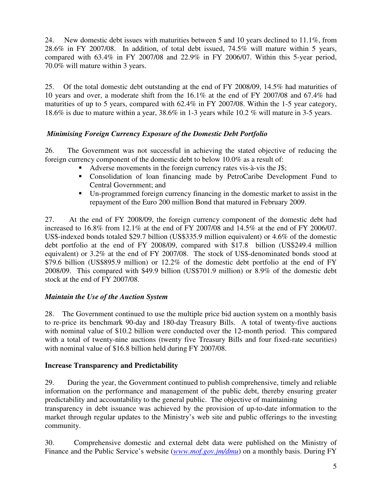24. New domestic debt issues with maturities between 5 and 10 years declined to 11.1%, from 28.6% in FY 2007/08. In addition, of total debt issued, 74.5% will mature within 5 years, compared with 63.4% in FY 2007/08 and 22.9% in FY 2006/07. Within this 5-year period, 70.0% will mature within 3 years.

25. Of the total domestic debt outstanding at the end of FY 2008/09, 14.5% had maturities of 10 years and over, a moderate shift from the 16.1% at the end of FY 2007/08 and 67.4% had maturities of up to 5 years, compared with 62.4% in FY 2007/08. Within the 1-5 year category, 18.6% is due to mature within a year, 38.6% in 1-3 years while 10.2 % will mature in 3-5 years.

# *Minimising Foreign Currency Exposure of the Domestic Debt Portfolio*

26. The Government was not successful in achieving the stated objective of reducing the foreign currency component of the domestic debt to below 10.0% as a result of:

- Adverse movements in the foreign currency rates vis-à-vis the J\$;
- Consolidation of loan financing made by PetroCaribe Development Fund to Central Government; and
- Un-programmed foreign currency financing in the domestic market to assist in the repayment of the Euro 200 million Bond that matured in February 2009.

27. At the end of FY 2008/09, the foreign currency component of the domestic debt had increased to 16.8% from 12.1% at the end of FY 2007/08 and 14.5% at the end of FY 2006/07. US\$-indexed bonds totaled \$29.7 billion (US\$335.9 million equivalent) or 4.6% of the domestic debt portfolio at the end of FY 2008/09, compared with \$17.8 billion (US\$249.4 million equivalent) or 3.2% at the end of FY 2007/08. The stock of US\$-denominated bonds stood at \$79.6 billion (US\$895.9 million) or 12.2% of the domestic debt portfolio at the end of FY 2008/09. This compared with \$49.9 billion (US\$701.9 million) or 8.9% of the domestic debt stock at the end of FY 2007/08.

### *Maintain the Use of the Auction System*

28. The Government continued to use the multiple price bid auction system on a monthly basis to re-price its benchmark 90-day and 180-day Treasury Bills. A total of twenty-five auctions with nominal value of \$10.2 billion were conducted over the 12-month period. This compared with a total of twenty-nine auctions (twenty five Treasury Bills and four fixed-rate securities) with nominal value of \$16.8 billion held during FY 2007/08.

### **Increase Transparency and Predictability**

29. During the year, the Government continued to publish comprehensive, timely and reliable information on the performance and management of the public debt, thereby ensuring greater predictability and accountability to the general public. The objective of maintaining

transparency in debt issuance was achieved by the provision of up-to-date information to the market through regular updates to the Ministry's web site and public offerings to the investing community.

30. Comprehensive domestic and external debt data were published on the Ministry of Finance and the Public Service's website (*www.mof.gov.jm/dmu*) on a monthly basis. During FY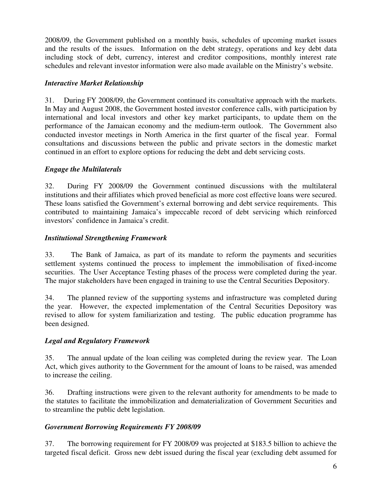2008/09, the Government published on a monthly basis, schedules of upcoming market issues and the results of the issues. Information on the debt strategy, operations and key debt data including stock of debt, currency, interest and creditor compositions, monthly interest rate schedules and relevant investor information were also made available on the Ministry's website.

### *Interactive Market Relationship*

31. During FY 2008/09, the Government continued its consultative approach with the markets. In May and August 2008, the Government hosted investor conference calls, with participation by international and local investors and other key market participants, to update them on the performance of the Jamaican economy and the medium-term outlook. The Government also conducted investor meetings in North America in the first quarter of the fiscal year. Formal consultations and discussions between the public and private sectors in the domestic market continued in an effort to explore options for reducing the debt and debt servicing costs.

### *Engage the Multilaterals*

32. During FY 2008/09 the Government continued discussions with the multilateral institutions and their affiliates which proved beneficial as more cost effective loans were secured. These loans satisfied the Government's external borrowing and debt service requirements. This contributed to maintaining Jamaica's impeccable record of debt servicing which reinforced investors' confidence in Jamaica's credit.

### *Institutional Strengthening Framework*

33. The Bank of Jamaica, as part of its mandate to reform the payments and securities settlement systems continued the process to implement the immobilisation of fixed-income securities. The User Acceptance Testing phases of the process were completed during the year. The major stakeholders have been engaged in training to use the Central Securities Depository.

34. The planned review of the supporting systems and infrastructure was completed during the year. However, the expected implementation of the Central Securities Depository was revised to allow for system familiarization and testing. The public education programme has been designed.

### *Legal and Regulatory Framework*

35. The annual update of the loan ceiling was completed during the review year. The Loan Act, which gives authority to the Government for the amount of loans to be raised, was amended to increase the ceiling.

36. Drafting instructions were given to the relevant authority for amendments to be made to the statutes to facilitate the immobilization and dematerialization of Government Securities and to streamline the public debt legislation.

### *Government Borrowing Requirements FY 2008/09*

37. The borrowing requirement for FY 2008/09 was projected at \$183.5 billion to achieve the targeted fiscal deficit. Gross new debt issued during the fiscal year (excluding debt assumed for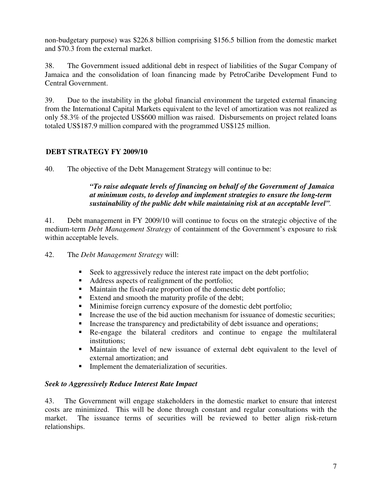non-budgetary purpose) was \$226.8 billion comprising \$156.5 billion from the domestic market and \$70.3 from the external market.

38. The Government issued additional debt in respect of liabilities of the Sugar Company of Jamaica and the consolidation of loan financing made by PetroCaribe Development Fund to Central Government.

39. Due to the instability in the global financial environment the targeted external financing from the International Capital Markets equivalent to the level of amortization was not realized as only 58.3% of the projected US\$600 million was raised. Disbursements on project related loans totaled US\$187.9 million compared with the programmed US\$125 million.

### **DEBT STRATEGY FY 2009/10**

40. The objective of the Debt Management Strategy will continue to be:

### *"To raise adequate levels of financing on behalf of the Government of Jamaica at minimum costs, to develop and implement strategies to ensure the long-term sustainability of the public debt while maintaining risk at an acceptable level".*

41. Debt management in FY 2009/10 will continue to focus on the strategic objective of the medium-term *Debt Management Strategy* of containment of the Government's exposure to risk within acceptable levels.

42. The *Debt Management Strategy* will:

- Seek to aggressively reduce the interest rate impact on the debt portfolio;
- Address aspects of realignment of the portfolio;
- Maintain the fixed-rate proportion of the domestic debt portfolio;
- Extend and smooth the maturity profile of the debt;
- Minimise foreign currency exposure of the domestic debt portfolio;
- Increase the use of the bid auction mechanism for issuance of domestic securities;
- Increase the transparency and predictability of debt issuance and operations;
- Re-engage the bilateral creditors and continue to engage the multilateral institutions;
- Maintain the level of new issuance of external debt equivalent to the level of external amortization; and
- **Implement the dematerialization of securities.**

### *Seek to Aggressively Reduce Interest Rate Impact*

43. The Government will engage stakeholders in the domestic market to ensure that interest costs are minimized. This will be done through constant and regular consultations with the market. The issuance terms of securities will be reviewed to better align risk-return relationships.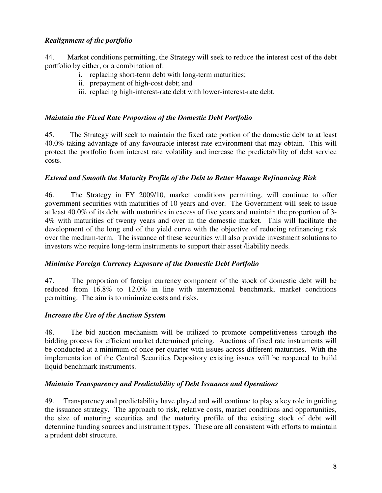### *Realignment of the portfolio*

44. Market conditions permitting, the Strategy will seek to reduce the interest cost of the debt portfolio by either, or a combination of:

- i. replacing short-term debt with long-term maturities;
- ii. prepayment of high-cost debt; and
- iii. replacing high-interest-rate debt with lower-interest-rate debt.

### *Maintain the Fixed Rate Proportion of the Domestic Debt Portfolio*

45. The Strategy will seek to maintain the fixed rate portion of the domestic debt to at least 40.0% taking advantage of any favourable interest rate environment that may obtain. This will protect the portfolio from interest rate volatility and increase the predictability of debt service costs.

### *Extend and Smooth the Maturity Profile of the Debt to Better Manage Refinancing Risk*

46. The Strategy in FY 2009/10, market conditions permitting, will continue to offer government securities with maturities of 10 years and over. The Government will seek to issue at least 40.0% of its debt with maturities in excess of five years and maintain the proportion of 3- 4% with maturities of twenty years and over in the domestic market. This will facilitate the development of the long end of the yield curve with the objective of reducing refinancing risk over the medium-term. The issuance of these securities will also provide investment solutions to investors who require long-term instruments to support their asset /liability needs.

### *Minimise Foreign Currency Exposure of the Domestic Debt Portfolio*

47. The proportion of foreign currency component of the stock of domestic debt will be reduced from 16.8% to 12.0% in line with international benchmark, market conditions permitting. The aim is to minimize costs and risks.

### *Increase the Use of the Auction System*

48. The bid auction mechanism will be utilized to promote competitiveness through the bidding process for efficient market determined pricing. Auctions of fixed rate instruments will be conducted at a minimum of once per quarter with issues across different maturities. With the implementation of the Central Securities Depository existing issues will be reopened to build liquid benchmark instruments.

### *Maintain Transparency and Predictability of Debt Issuance and Operations*

49. Transparency and predictability have played and will continue to play a key role in guiding the issuance strategy. The approach to risk, relative costs, market conditions and opportunities, the size of maturing securities and the maturity profile of the existing stock of debt will determine funding sources and instrument types. These are all consistent with efforts to maintain a prudent debt structure.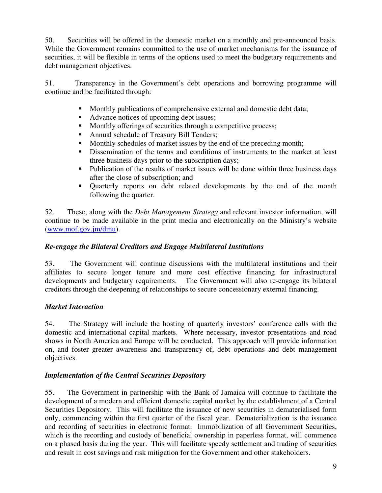50. Securities will be offered in the domestic market on a monthly and pre-announced basis. While the Government remains committed to the use of market mechanisms for the issuance of securities, it will be flexible in terms of the options used to meet the budgetary requirements and debt management objectives.

51. Transparency in the Government's debt operations and borrowing programme will continue and be facilitated through:

- Monthly publications of comprehensive external and domestic debt data;
- Advance notices of upcoming debt issues;
- **Monthly offerings of securities through a competitive process;**
- Annual schedule of Treasury Bill Tenders;
- Monthly schedules of market issues by the end of the preceding month;
- Dissemination of the terms and conditions of instruments to the market at least three business days prior to the subscription days;
- Publication of the results of market issues will be done within three business days after the close of subscription; and
- Quarterly reports on debt related developments by the end of the month following the quarter.

52. These, along with the *Debt Management Strategy* and relevant investor information, will continue to be made available in the print media and electronically on the Ministry's website (www.mof.gov.jm/dmu).

### *Re-engage the Bilateral Creditors and Engage Multilateral Institutions*

53. The Government will continue discussions with the multilateral institutions and their affiliates to secure longer tenure and more cost effective financing for infrastructural developments and budgetary requirements. The Government will also re-engage its bilateral creditors through the deepening of relationships to secure concessionary external financing.

# *Market Interaction*

54. The Strategy will include the hosting of quarterly investors' conference calls with the domestic and international capital markets. Where necessary, investor presentations and road shows in North America and Europe will be conducted. This approach will provide information on, and foster greater awareness and transparency of, debt operations and debt management objectives.

### *Implementation of the Central Securities Depository*

55. The Government in partnership with the Bank of Jamaica will continue to facilitate the development of a modern and efficient domestic capital market by the establishment of a Central Securities Depository. This will facilitate the issuance of new securities in dematerialised form only, commencing within the first quarter of the fiscal year. Dematerialization is the issuance and recording of securities in electronic format. Immobilization of all Government Securities, which is the recording and custody of beneficial ownership in paperless format, will commence on a phased basis during the year. This will facilitate speedy settlement and trading of securities and result in cost savings and risk mitigation for the Government and other stakeholders.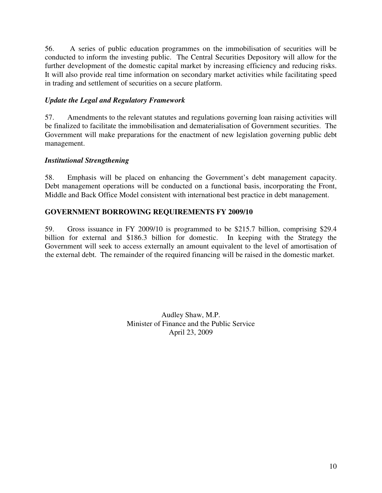56. A series of public education programmes on the immobilisation of securities will be conducted to inform the investing public. The Central Securities Depository will allow for the further development of the domestic capital market by increasing efficiency and reducing risks. It will also provide real time information on secondary market activities while facilitating speed in trading and settlement of securities on a secure platform.

### *Update the Legal and Regulatory Framework*

57. Amendments to the relevant statutes and regulations governing loan raising activities will be finalized to facilitate the immobilisation and dematerialisation of Government securities. The Government will make preparations for the enactment of new legislation governing public debt management.

### *Institutional Strengthening*

58. Emphasis will be placed on enhancing the Government's debt management capacity. Debt management operations will be conducted on a functional basis, incorporating the Front, Middle and Back Office Model consistent with international best practice in debt management.

### **GOVERNMENT BORROWING REQUIREMENTS FY 2009/10**

59. Gross issuance in FY 2009/10 is programmed to be \$215.7 billion, comprising \$29.4 billion for external and \$186.3 billion for domestic. In keeping with the Strategy the Government will seek to access externally an amount equivalent to the level of amortisation of the external debt. The remainder of the required financing will be raised in the domestic market.

> Audley Shaw, M.P. Minister of Finance and the Public Service April 23, 2009